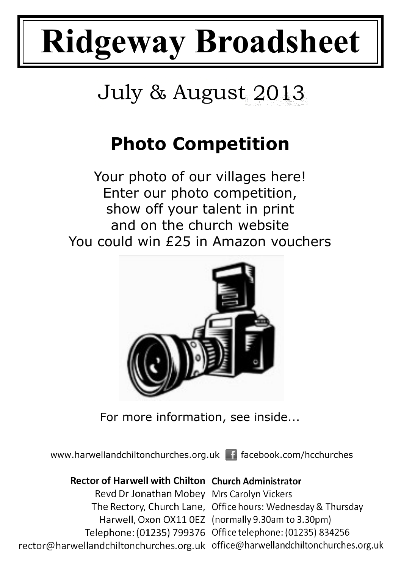# **Ridgeway Broadsheet**

# July & August 2013

# **Photo Competition**

Your photo of our villages here! Enter our photo competition, show off your talent in print and on the church website You could win £25 in Amazon vouchers



For more information, see inside...

www.harwellandchiltonchurches.org.uk facebook.com/hcchurches

#### Rector of Harwell with Chilton Church Administrator Revd Dr Jonathan Mobey Mrs Carolyn Vickers

The Rectory, Church Lane, Office hours: Wednesday & Thursday Harwell, Oxon OX11 0EZ (normally 9.30am to 3.30pm) Telephone: (01235) 799376 Office telephone: (01235) 834256 rector@harwellandchiltonchurches.org.uk office@harwellandchiltonchurches.org.uk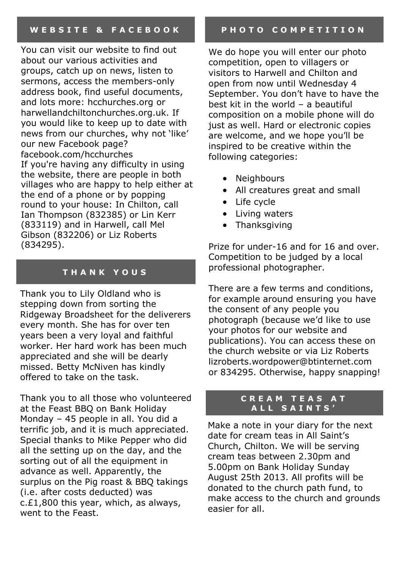You can visit our website to find out about our various activities and groups, catch up on news, listen to sermons, access the members-only address book, find useful documents, and lots more: hcchurches.org or harwellandchiltonchurches.org.uk. If you would like to keep up to date with news from our churches, why not 'like' our new Facebook page? facebook.com/hcchurches If you're having any difficulty in using the website, there are people in both villages who are happy to help either at the end of a phone or by popping round to your house: In Chilton, call Ian Thompson (832385) or Lin Kerr (833119) and in Harwell, call Mel Gibson (832206) or Liz Roberts (834295).

#### **T H A N K Y O U S**

Thank you to Lily Oldland who is stepping down from sorting the Ridgeway Broadsheet for the deliverers every month. She has for over ten years been a very loyal and faithful worker. Her hard work has been much appreciated and she will be dearly missed. Betty McNiven has kindly offered to take on the task.

Thank you to all those who volunteered at the Feast BBQ on Bank Holiday Monday – 45 people in all. You did a terrific job, and it is much appreciated. Special thanks to Mike Pepper who did all the setting up on the day, and the sorting out of all the equipment in advance as well. Apparently, the surplus on the Pig roast & BBQ takings (i.e. after costs deducted) was c.£1,800 this year, which, as always, went to the Feast.

#### **P H O T O C O M P E T I T I O N**

We do hope you will enter our photo competition, open to villagers or visitors to Harwell and Chilton and open from now until Wednesday 4 September. You don't have to have the best kit in the world – a beautiful composition on a mobile phone will do just as well. Hard or electronic copies are welcome, and we hope you'll be inspired to be creative within the following categories:

- Neighbours
- All creatures great and small
- Life cycle
- Living waters
- Thanksgiving

Prize for under-16 and for 16 and over. Competition to be judged by a local professional photographer.

There are a few terms and conditions, for example around ensuring you have the consent of any people you photograph (because we'd like to use your photos for our website and publications). You can access these on the church website or via Liz Roberts lizroberts.wordpower@btinternet.com or 834295. Otherwise, happy snapping!

#### **C R E A M T E A S A T A L L S A I N T S '**

Make a note in your diary for the next date for cream teas in All Saint's Church, Chilton. We will be serving cream teas between 2.30pm and 5.00pm on Bank Holiday Sunday August 25th 2013. All profits will be donated to the church path fund, to make access to the church and grounds easier for all.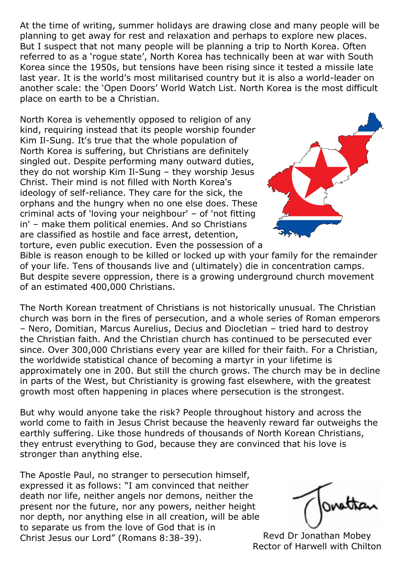At the time of writing, summer holidays are drawing close and many people will be planning to get away for rest and relaxation and perhaps to explore new places. But I suspect that not many people will be planning a trip to North Korea. Often referred to as a 'rogue state', North Korea has technically been at war with South Korea since the 1950s, but tensions have been rising since it tested a missile late last year. It is the world's most militarised country but it is also a world-leader on another scale: the 'Open Doors' World Watch List. North Korea is the most difficult place on earth to be a Christian.

North Korea is vehemently opposed to religion of any kind, requiring instead that its people worship founder Kim Il-Sung. It's true that the whole population of North Korea is suffering, but Christians are definitely singled out. Despite performing many outward duties, they do not worship Kim Il-Sung – they worship Jesus Christ. Their mind is not filled with North Korea's ideology of self-reliance. They care for the sick, the orphans and the hungry when no one else does. These criminal acts of 'loving your neighbour' – of 'not fitting in' – make them political enemies. And so Christians are classified as hostile and face arrest, detention, torture, even public execution. Even the possession of a



Bible is reason enough to be killed or locked up with your family for the remainder of your life. Tens of thousands live and (ultimately) die in concentration camps. But despite severe oppression, there is a growing underground church movement of an estimated 400,000 Christians.

The North Korean treatment of Christians is not historically unusual. The Christian church was born in the fires of persecution, and a whole series of Roman emperors – Nero, Domitian, Marcus Aurelius, Decius and Diocletian – tried hard to destroy the Christian faith. And the Christian church has continued to be persecuted ever since. Over 300,000 Christians every year are killed for their faith. For a Christian, the worldwide statistical chance of becoming a martyr in your lifetime is approximately one in 200. But still the church grows. The church may be in decline in parts of the West, but Christianity is growing fast elsewhere, with the greatest growth most often happening in places where persecution is the strongest.

But why would anyone take the risk? People throughout history and across the world come to faith in Jesus Christ because the heavenly reward far outweighs the earthly suffering. Like those hundreds of thousands of North Korean Christians, they entrust everything to God, because they are convinced that his love is stronger than anything else.

The Apostle Paul, no stranger to persecution himself, expressed it as follows: "I am convinced that neither death nor life, neither angels nor demons, neither the present nor the future, nor any powers, neither height nor depth, nor anything else in all creation, will be able to separate us from the love of God that is in Christ Jesus our Lord" (Romans 8:38-39). Revd Dr Jonathan Mobey

ratto

Rector of Harwell with Chilton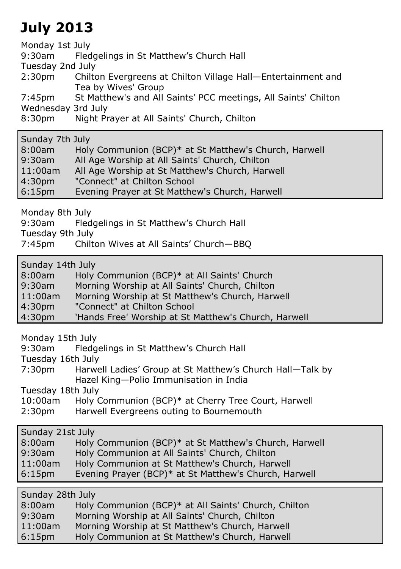## **July 2013**

Monday 1st July

9:30am Fledgelings in St Matthew's Church Hall

Tuesday 2nd July

2:30pm Chilton Evergreens at Chilton Village Hall—Entertainment and Tea by Wives' Group

7:45pm St Matthew's and All Saints' PCC meetings, All Saints' Chilton Wednesday 3rd July

8:30pm Night Prayer at All Saints' Church, Chilton

Sunday 7th July

| 8:00am             | Holy Communion (BCP)* at St Matthew's Church, Harwell |
|--------------------|-------------------------------------------------------|
| $9:30$ am          | All Age Worship at All Saints' Church, Chilton        |
| $11:00$ am         | All Age Worship at St Matthew's Church, Harwell       |
| 4:30 <sub>pm</sub> | "Connect" at Chilton School                           |
| 6:15 <sub>pm</sub> | Evening Prayer at St Matthew's Church, Harwell        |

Monday 8th July

9:30am Fledgelings in St Matthew's Church Hall

Tuesday 9th July

7:45pm Chilton Wives at All Saints' Church—BBQ

Sunday 14th July

| 8:00am |  |  |  | Holy Communion (BCP)* at All Saints' Church |
|--------|--|--|--|---------------------------------------------|
|        |  |  |  |                                             |

9:30am Morning Worship at All Saints' Church, Chilton

- 11:00am Morning Worship at St Matthew's Church, Harwell
- 4:30pm "Connect" at Chilton School

4:30pm 'Hands Free' Worship at St Matthew's Church, Harwell

Monday 15th July

| 9:30am | Fledgelings in St Matthew's Church Hall |
|--------|-----------------------------------------|
|--------|-----------------------------------------|

Tuesday 16th July

7:30pm Harwell Ladies' Group at St Matthew's Church Hall—Talk by Hazel King—Polio Immunisation in India

Tuesday 18th July

| $10:00$ am         | Holy Communion (BCP)* at Cherry Tree Court, Harwell |
|--------------------|-----------------------------------------------------|
| 2:30 <sub>pm</sub> | Harwell Evergreens outing to Bournemouth            |

| Sunday 21st July   |                                                       |  |
|--------------------|-------------------------------------------------------|--|
| 8:00am             | Holy Communion (BCP)* at St Matthew's Church, Harwell |  |
| $9:30$ am          | Holy Communion at All Saints' Church, Chilton         |  |
| $11:00$ am         | Holy Communion at St Matthew's Church, Harwell        |  |
| 6:15 <sub>pm</sub> | Evening Prayer (BCP)* at St Matthew's Church, Harwell |  |
|                    |                                                       |  |

Sunday 28th July

| 8:00am             | Holy Communion (BCP)* at All Saints' Church, Chilton |
|--------------------|------------------------------------------------------|
| $9:30$ am          | Morning Worship at All Saints' Church, Chilton       |
| $11:00$ am         | Morning Worship at St Matthew's Church, Harwell      |
| 6:15 <sub>pm</sub> | Holy Communion at St Matthew's Church, Harwell       |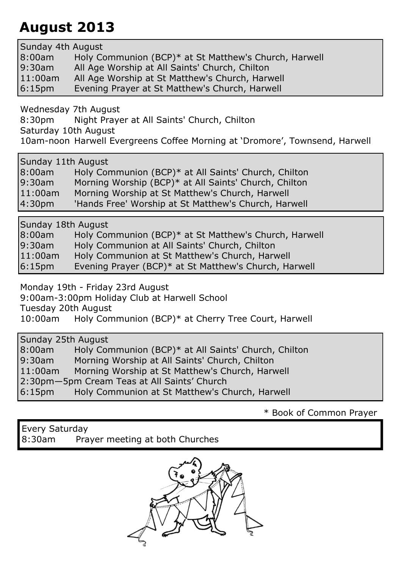### **August 2013**

Sunday 4th August 8:00am Holy Communion (BCP)\* at St Matthew's Church, Harwell 9:30am All Age Worship at All Saints' Church, Chilton 11:00am All Age Worship at St Matthew's Church, Harwell 6:15pm Evening Prayer at St Matthew's Church, Harwell

Wednesday 7th August

8:30pm Night Prayer at All Saints' Church, Chilton

Saturday 10th August

10am-noon Harwell Evergreens Coffee Morning at 'Dromore', Townsend, Harwell

Sunday 11th August

| 8:00am | Holy Communion (BCP)* at All Saints' Church, Chilton  |
|--------|-------------------------------------------------------|
| 0.202m | Morning Warshin (BCD)* at All Caints' Church, Chilton |

0am Morning Worship (BCP)\* at All Saints' Church, Chilton 11:00am Morning Worship at St Matthew's Church, Harwell

4:30pm 'Hands Free' Worship at St Matthew's Church, Harwell

Sunday 18th August

| 8:00am                      | Holy Communion (BCP)* at St Matthew's Church, Harwell |
|-----------------------------|-------------------------------------------------------|
| 9:30am                      | Holy Communion at All Saints' Church, Chilton         |
| 11:00am                     | Holy Communion at St Matthew's Church, Harwell        |
| $\sim$ $\sim$ $\sim$ $\sim$ |                                                       |

6:15pm Evening Prayer (BCP)\* at St Matthew's Church, Harwell

Monday 19th - Friday 23rd August

9:00am-3:00pm Holiday Club at Harwell School

Tuesday 20th August

10:00am Holy Communion (BCP)\* at Cherry Tree Court, Harwell

Sunday 25th August

8:00am Holy Communion (BCP)\* at All Saints' Church, Chilton Morning Worship at All Saints' Church, Chilton 11:00am Morning Worship at St Matthew's Church, Harwell 2:30pm—5pm Cream Teas at All Saints' Church 6:15pm Holy Communion at St Matthew's Church, Harwell

\* Book of Common Prayer

Every Saturday 8:30am Prayer meeting at both Churches

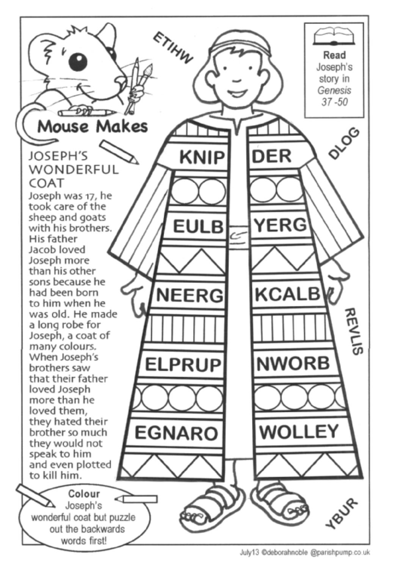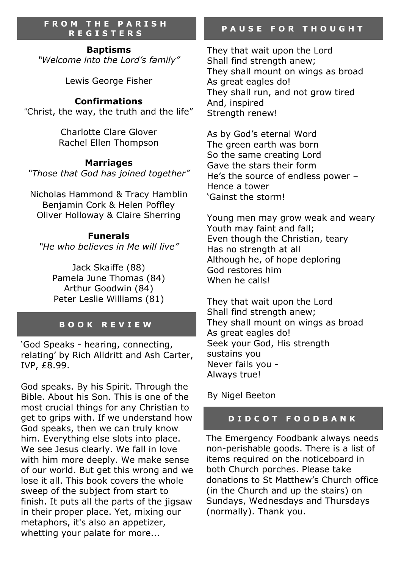#### **F R O M T H E P A R I S H R E G I S T E R S**

**Baptisms**

*"Welcome into the Lord's family"*

Lewis George Fisher

#### **Confirmations**

"Christ, the way, the truth and the life"

Charlotte Clare Glover Rachel Ellen Thompson

#### **Marriages**

*"Those that God has joined together"*

Nicholas Hammond & Tracy Hamblin Benjamin Cork & Helen Poffley Oliver Holloway & Claire Sherring

#### **Funerals**

*"He who believes in Me will live"*

Jack Skaiffe (88) Pamela June Thomas (84) Arthur Goodwin (84) Peter Leslie Williams (81)

#### **B O O K R E V I E W**

'God Speaks - hearing, connecting, relating' by Rich Alldritt and Ash Carter, IVP, £8.99.

God speaks. By his Spirit. Through the Bible. About his Son. This is one of the most crucial things for any Christian to get to grips with. If we understand how God speaks, then we can truly know him. Everything else slots into place. We see Jesus clearly. We fall in love with him more deeply. We make sense of our world. But get this wrong and we lose it all. This book covers the whole sweep of the subject from start to finish. It puts all the parts of the jigsaw in their proper place. Yet, mixing our metaphors, it's also an appetizer, whetting your palate for more...

#### **P A U S E F O R T H O U G H T**

They that wait upon the Lord Shall find strength anew; They shall mount on wings as broad As great eagles do! They shall run, and not grow tired And, inspired Strength renew!

As by God's eternal Word The green earth was born So the same creating Lord Gave the stars their form He's the source of endless power – Hence a tower 'Gainst the storm!

Young men may grow weak and weary Youth may faint and fall; Even though the Christian, teary Has no strength at all Although he, of hope deploring God restores him When he calls!

They that wait upon the Lord Shall find strength anew; They shall mount on wings as broad As great eagles do! Seek your God, His strength sustains you Never fails you - Always true!

By Nigel Beeton

#### **D I D C O T F O O D B A N K**

The Emergency Foodbank always needs non-perishable goods. There is a list of items required on the noticeboard in both Church porches. Please take donations to St Matthew's Church office (in the Church and up the stairs) on Sundays, Wednesdays and Thursdays (normally). Thank you.